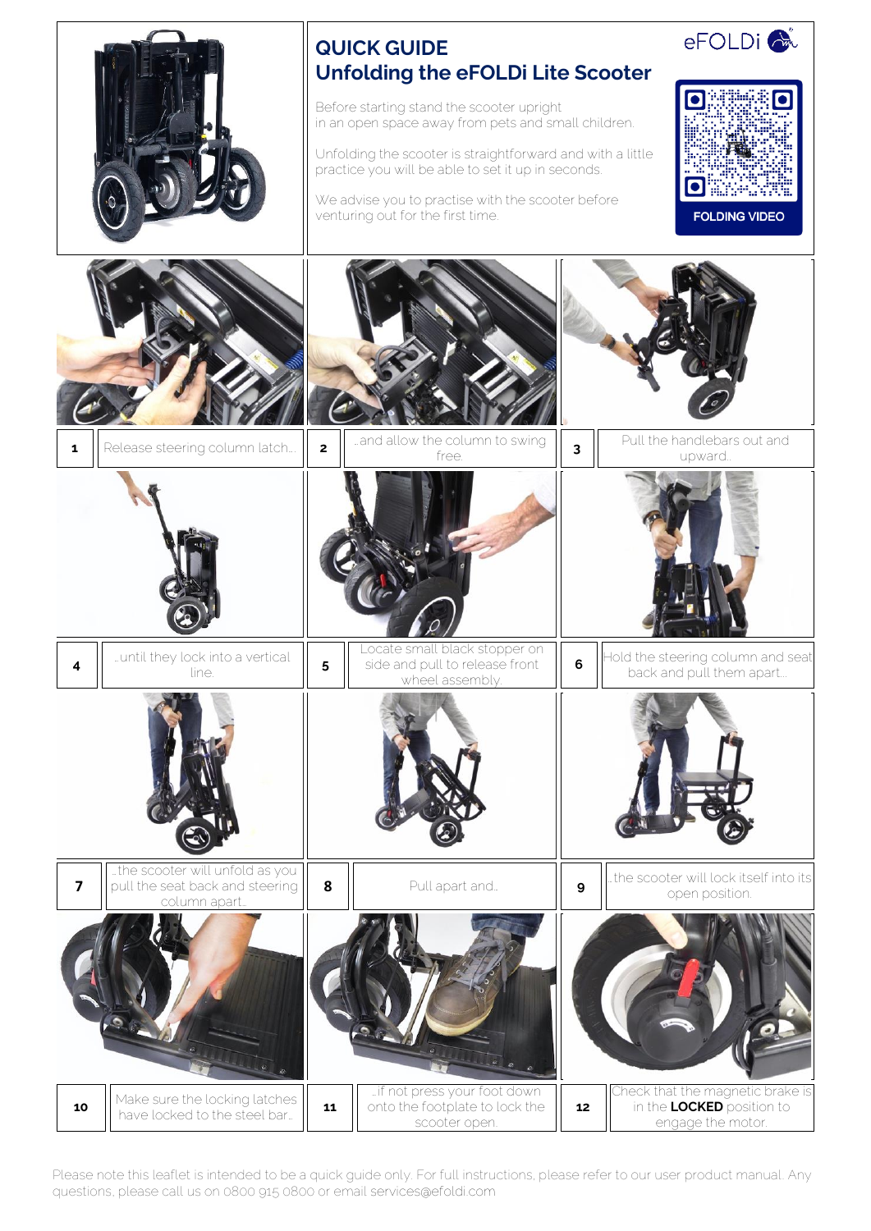

Please note this leaflet is intended to be a quick guide only. For full instructions, please refer to our user product manual. Any questions, please call us on 0800 915 0800 or email services@efoldi.com